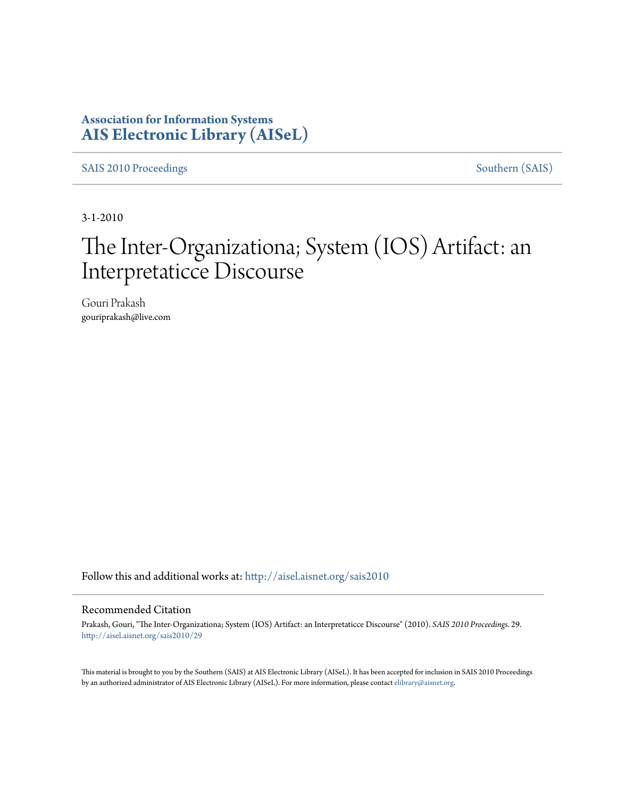### **Association for Information Systems [AIS Electronic Library \(AISeL\)](http://aisel.aisnet.org?utm_source=aisel.aisnet.org%2Fsais2010%2F29&utm_medium=PDF&utm_campaign=PDFCoverPages)**

[SAIS 2010 Proceedings](http://aisel.aisnet.org/sais2010?utm_source=aisel.aisnet.org%2Fsais2010%2F29&utm_medium=PDF&utm_campaign=PDFCoverPages) [Southern \(SAIS\)](http://aisel.aisnet.org/sais?utm_source=aisel.aisnet.org%2Fsais2010%2F29&utm_medium=PDF&utm_campaign=PDFCoverPages)

3-1-2010

# The Inter-Organizationa; System (IOS) Artifact: an Interpretaticce Discourse

Gouri Prakash gouriprakash@live.com

Follow this and additional works at: [http://aisel.aisnet.org/sais2010](http://aisel.aisnet.org/sais2010?utm_source=aisel.aisnet.org%2Fsais2010%2F29&utm_medium=PDF&utm_campaign=PDFCoverPages)

#### Recommended Citation

Prakash, Gouri, "The Inter-Organizationa; System (IOS) Artifact: an Interpretaticce Discourse" (2010). *SAIS 2010 Proceedings*. 29. [http://aisel.aisnet.org/sais2010/29](http://aisel.aisnet.org/sais2010/29?utm_source=aisel.aisnet.org%2Fsais2010%2F29&utm_medium=PDF&utm_campaign=PDFCoverPages)

This material is brought to you by the Southern (SAIS) at AIS Electronic Library (AISeL). It has been accepted for inclusion in SAIS 2010 Proceedings by an authorized administrator of AIS Electronic Library (AISeL). For more information, please contact [elibrary@aisnet.org](mailto:elibrary@aisnet.org%3E).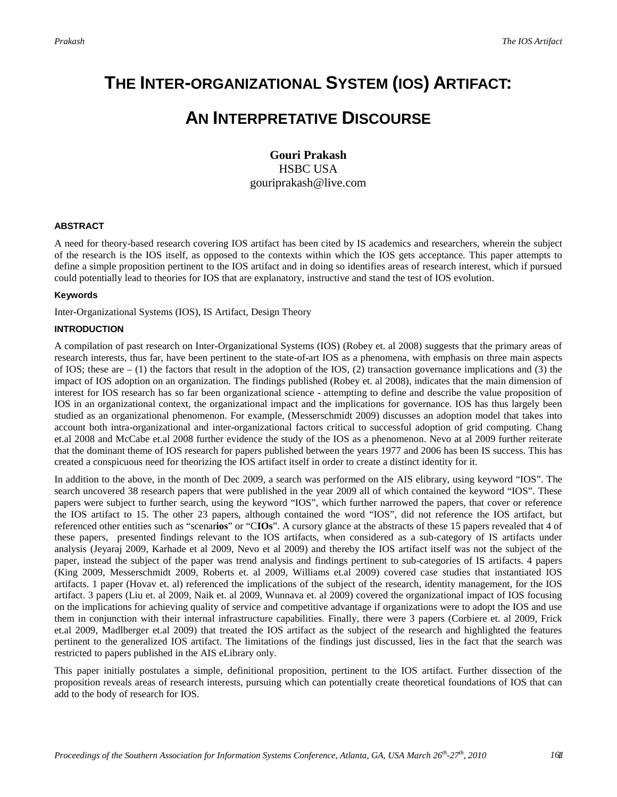# **THE INTER-ORGANIZATIONAL SYSTEM (IOS) ARTIFACT:**

## **AN INTERPRETATIVE DISCOURSE**

**Gouri Prakash** HSBC USA gouriprakash@live.com

#### **ABSTRACT**

A need for theory-based research covering IOS artifact has been cited by IS academics and researchers, wherein the subject of the research is the IOS itself, as opposed to the contexts within which the IOS gets acceptance. This paper attempts to define a simple proposition pertinent to the IOS artifact and in doing so identifies areas of research interest, which if pursued could potentially lead to theories for IOS that are explanatory, instructive and stand the test of IOS evolution.

#### **Keywords**

Inter-Organizational Systems (IOS), IS Artifact, Design Theory

#### **INTRODUCTION**

A compilation of past research on Inter-Organizational Systems (IOS) (Robey et. al 2008) suggests that the primary areas of research interests, thus far, have been pertinent to the state-of-art IOS as a phenomena, with emphasis on three main aspects of IOS; these are  $- (1)$  the factors that result in the adoption of the IOS, (2) transaction governance implications and (3) the impact of IOS adoption on an organization. The findings published (Robey et. al 2008), indicates that the main dimension of interest for IOS research has so far been organizational science - attempting to define and describe the value proposition of IOS in an organizational context, the organizational impact and the implications for governance. IOS has thus largely been studied as an organizational phenomenon. For example, (Messerschmidt 2009) discusses an adoption model that takes into account both intra-organizational and inter-organizational factors critical to successful adoption of grid computing. Chang et.al 2008 and McCabe et.al 2008 further evidence the study of the IOS as a phenomenon. Nevo at al 2009 further reiterate that the dominant theme of IOS research for papers published between the years 1977 and 2006 has been IS success. This has created a conspicuous need for theorizing the IOS artifact itself in order to create a distinct identity for it.

In addition to the above, in the month of Dec 2009, a search was performed on the AIS elibrary, using keyword "IOS". The search uncovered 38 research papers that were published in the year 2009 all of which contained the keyword "IOS". These papers were subject to further search, using the keyword "IOS", which further narrowed the papers, that cover or reference the IOS artifact to 15. The other 23 papers, although contained the word "IOS", did not reference the IOS artifact, but referenced other entities such as "scenar**ios**" or "C**IOs**". A cursory glance at the abstracts of these 15 papers revealed that 4 of these papers, presented findings relevant to the IOS artifacts, when considered as a sub-category of IS artifacts under analysis (Jeyaraj 2009, Karhade et al 2009, Nevo et al 2009) and thereby the IOS artifact itself was not the subject of the paper, instead the subject of the paper was trend analysis and findings pertinent to sub-categories of IS artifacts. 4 papers (King 2009, Messerschmidt 2009, Roberts et. al 2009, Williams et.al 2009) covered case studies that instantiated IOS artifacts. 1 paper (Hovav et. al) referenced the implications of the subject of the research, identity management, for the IOS artifact. 3 papers (Liu et. al 2009, Naik et. al 2009, Wunnava et. al 2009) covered the organizational impact of IOS focusing on the implications for achieving quality of service and competitive advantage if organizations were to adopt the IOS and use them in conjunction with their internal infrastructure capabilities. Finally, there were 3 papers (Corbiere et. al 2009, Frick et.al 2009, Madlberger et.al 2009) that treated the IOS artifact as the subject of the research and highlighted the features pertinent to the generalized IOS artifact. The limitations of the findings just discussed, lies in the fact that the search was restricted to papers published in the AIS eLibrary only.

This paper initially postulates a simple, definitional proposition, pertinent to the IOS artifact. Further dissection of the proposition reveals areas of research interests, pursuing which can potentially create theoretical foundations of IOS that can add to the body of research for IOS.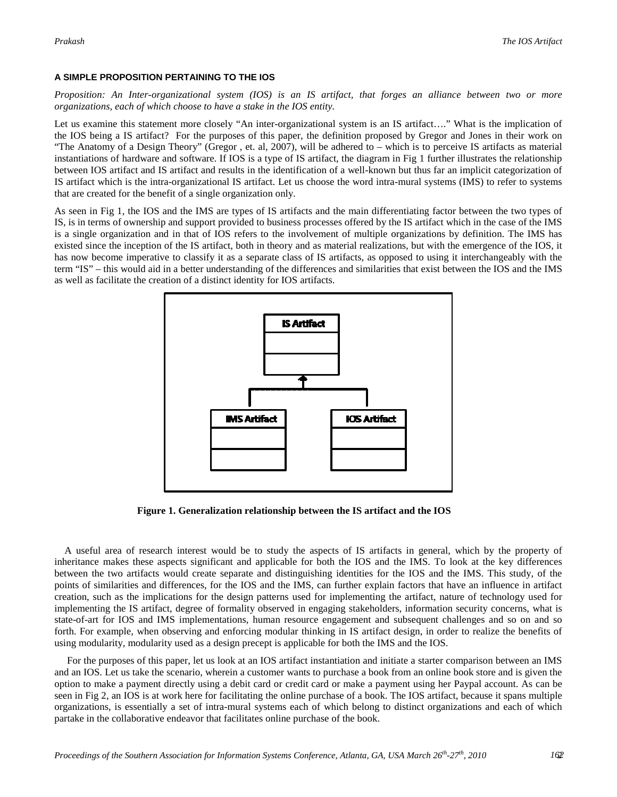#### **A SIMPLE PROPOSITION PERTAINING TO THE IOS**

*Proposition: An Inter-organizational system (IOS) is an IS artifact, that forges an alliance between two or more organizations, each of which choose to have a stake in the IOS entity.*

Let us examine this statement more closely "An inter-organizational system is an IS artifact…." What is the implication of the IOS being a IS artifact? For the purposes of this paper, the definition proposed by Gregor and Jones in their work on "The Anatomy of a Design Theory" (Gregor , et. al, 2007), will be adhered to – which is to perceive IS artifacts as material instantiations of hardware and software. If IOS is a type of IS artifact, the diagram in Fig 1 further illustrates the relationship between IOS artifact and IS artifact and results in the identification of a well-known but thus far an implicit categorization of IS artifact which is the intra-organizational IS artifact. Let us choose the word intra-mural systems (IMS) to refer to systems that are created for the benefit of a single organization only.

As seen in Fig 1, the IOS and the IMS are types of IS artifacts and the main differentiating factor between the two types of IS, is in terms of ownership and support provided to business processes offered by the IS artifact which in the case of the IMS is a single organization and in that of IOS refers to the involvement of multiple organizations by definition. The IMS has existed since the inception of the IS artifact, both in theory and as material realizations, but with the emergence of the IOS, it has now become imperative to classify it as a separate class of IS artifacts, as opposed to using it interchangeably with the term "IS" – this would aid in a better understanding of the differences and similarities that exist between the IOS and the IMS as well as facilitate the creation of a distinct identity for IOS artifacts.



**Figure 1. Generalization relationship between the IS artifact and the IOS**

A useful area of research interest would be to study the aspects of IS artifacts in general, which by the property of inheritance makes these aspects significant and applicable for both the IOS and the IMS. To look at the key differences between the two artifacts would create separate and distinguishing identities for the IOS and the IMS. This study, of the points of similarities and differences, for the IOS and the IMS, can further explain factors that have an influence in artifact creation, such as the implications for the design patterns used for implementing the artifact, nature of technology used for implementing the IS artifact, degree of formality observed in engaging stakeholders, information security concerns, what is state-of-art for IOS and IMS implementations, human resource engagement and subsequent challenges and so on and so forth. For example, when observing and enforcing modular thinking in IS artifact design, in order to realize the benefits of using modularity, modularity used as a design precept is applicable for both the IMS and the IOS.

For the purposes of this paper, let us look at an IOS artifact instantiation and initiate a starter comparison between an IMS and an IOS. Let us take the scenario, wherein a customer wants to purchase a book from an online book store and is given the option to make a payment directly using a debit card or credit card or make a payment using her Paypal account. As can be seen in Fig 2, an IOS is at work here for facilitating the online purchase of a book. The IOS artifact, because it spans multiple organizations, is essentially a set of intra-mural systems each of which belong to distinct organizations and each of which partake in the collaborative endeavor that facilitates online purchase of the book.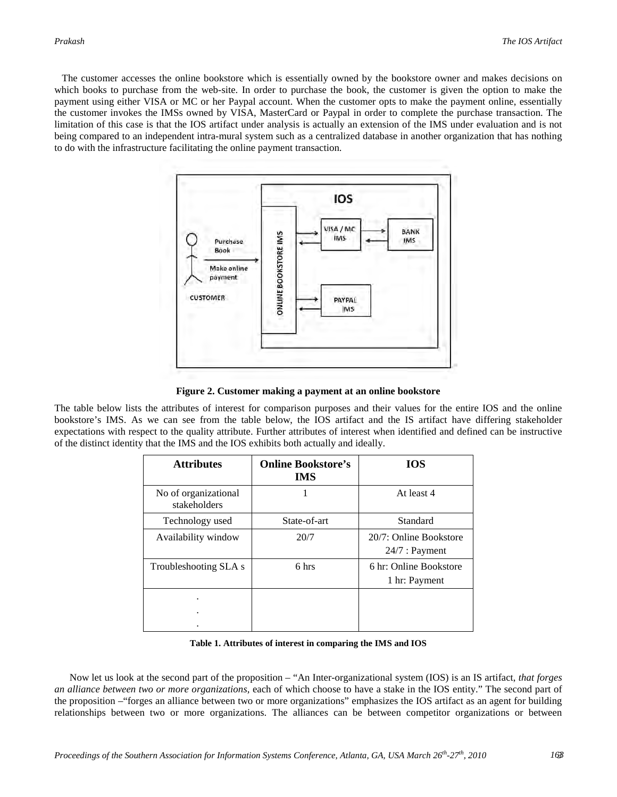The customer accesses the online bookstore which is essentially owned by the bookstore owner and makes decisions on which books to purchase from the web-site. In order to purchase the book, the customer is given the option to make the payment using either VISA or MC or her Paypal account. When the customer opts to make the payment online, essentially the customer invokes the IMSs owned by VISA, MasterCard or Paypal in order to complete the purchase transaction. The limitation of this case is that the IOS artifact under analysis is actually an extension of the IMS under evaluation and is not being compared to an independent intra-mural system such as a centralized database in another organization that has nothing to do with the infrastructure facilitating the online payment transaction.



**Figure 2. Customer making a payment at an online bookstore**

The table below lists the attributes of interest for comparison purposes and their values for the entire IOS and the online bookstore's IMS. As we can see from the table below, the IOS artifact and the IS artifact have differing stakeholder expectations with respect to the quality attribute. Further attributes of interest when identified and defined can be instructive of the distinct identity that the IMS and the IOS exhibits both actually and ideally.

| <b>Attributes</b>                    | <b>Online Bookstore's</b><br><b>IMS</b> | <b>IOS</b>                                 |
|--------------------------------------|-----------------------------------------|--------------------------------------------|
| No of organizational<br>stakeholders |                                         | At least 4                                 |
| Technology used                      | State-of-art                            | Standard                                   |
| Availability window                  | 20/7                                    | 20/7: Online Bookstore<br>$24/7$ : Payment |
| Troubleshooting SLA s                | 6 hrs                                   | 6 hr: Online Bookstore<br>1 hr: Payment    |
| ٠                                    |                                         |                                            |
| ٠                                    |                                         |                                            |

**Table 1. Attributes of interest in comparing the IMS and IOS**

Now let us look at the second part of the proposition – "An Inter-organizational system (IOS) is an IS artifact, *that forges an alliance between two or more organizations,* each of which choose to have a stake in the IOS entity." The second part of the proposition –"forges an alliance between two or more organizations" emphasizes the IOS artifact as an agent for building relationships between two or more organizations. The alliances can be between competitor organizations or between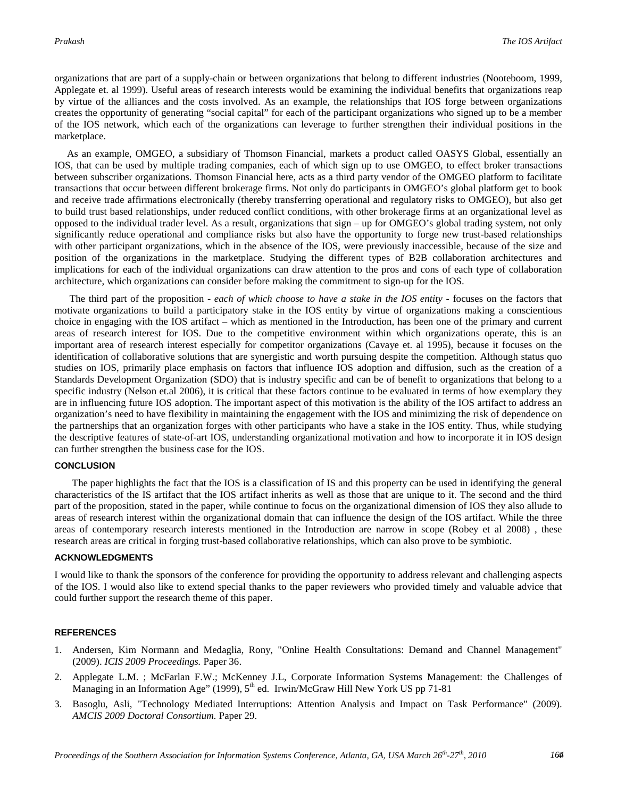organizations that are part of a supply-chain or between organizations that belong to different industries (Nooteboom, 1999, Applegate et. al 1999). Useful areas of research interests would be examining the individual benefits that organizations reap by virtue of the alliances and the costs involved. As an example, the relationships that IOS forge between organizations creates the opportunity of generating "social capital" for each of the participant organizations who signed up to be a member of the IOS network, which each of the organizations can leverage to further strengthen their individual positions in the marketplace.

As an example, OMGEO, a subsidiary of Thomson Financial, markets a product called OASYS Global, essentially an IOS, that can be used by multiple trading companies, each of which sign up to use OMGEO, to effect broker transactions between subscriber organizations. Thomson Financial here, acts as a third party vendor of the OMGEO platform to facilitate transactions that occur between different brokerage firms. Not only do participants in OMGEO's global platform get to book and receive trade affirmations electronically (thereby transferring operational and regulatory risks to OMGEO), but also get to build trust based relationships, under reduced conflict conditions, with other brokerage firms at an organizational level as opposed to the individual trader level. As a result, organizations that sign – up for OMGEO's global trading system, not only significantly reduce operational and compliance risks but also have the opportunity to forge new trust-based relationships with other participant organizations, which in the absence of the IOS, were previously inaccessible, because of the size and position of the organizations in the marketplace. Studying the different types of B2B collaboration architectures and implications for each of the individual organizations can draw attention to the pros and cons of each type of collaboration architecture, which organizations can consider before making the commitment to sign-up for the IOS.

The third part of the proposition - *each of which choose to have a stake in the IOS entity -* focuses on the factors that motivate organizations to build a participatory stake in the IOS entity by virtue of organizations making a conscientious choice in engaging with the IOS artifact – which as mentioned in the Introduction, has been one of the primary and current areas of research interest for IOS. Due to the competitive environment within which organizations operate, this is an important area of research interest especially for competitor organizations (Cavaye et. al 1995), because it focuses on the identification of collaborative solutions that are synergistic and worth pursuing despite the competition. Although status quo studies on IOS, primarily place emphasis on factors that influence IOS adoption and diffusion, such as the creation of a Standards Development Organization (SDO) that is industry specific and can be of benefit to organizations that belong to a specific industry (Nelson et.al 2006), it is critical that these factors continue to be evaluated in terms of how exemplary they are in influencing future IOS adoption. The important aspect of this motivation is the ability of the IOS artifact to address an organization's need to have flexibility in maintaining the engagement with the IOS and minimizing the risk of dependence on the partnerships that an organization forges with other participants who have a stake in the IOS entity. Thus, while studying the descriptive features of state-of-art IOS, understanding organizational motivation and how to incorporate it in IOS design can further strengthen the business case for the IOS.

#### **CONCLUSION**

The paper highlights the fact that the IOS is a classification of IS and this property can be used in identifying the general characteristics of the IS artifact that the IOS artifact inherits as well as those that are unique to it. The second and the third part of the proposition, stated in the paper, while continue to focus on the organizational dimension of IOS they also allude to areas of research interest within the organizational domain that can influence the design of the IOS artifact. While the three areas of contemporary research interests mentioned in the Introduction are narrow in scope (Robey et al 2008) , these research areas are critical in forging trust-based collaborative relationships, which can also prove to be symbiotic.

#### **ACKNOWLEDGMENTS**

I would like to thank the sponsors of the conference for providing the opportunity to address relevant and challenging aspects of the IOS. I would also like to extend special thanks to the paper reviewers who provided timely and valuable advice that could further support the research theme of this paper.

#### **REFERENCES**

- 1. Andersen, Kim Normann and Medaglia, Rony, "Online Health Consultations: Demand and Channel Management" (2009). *ICIS 2009 Proceedings.* Paper 36.
- 2. Applegate L.M. ; McFarlan F.W.; McKenney J.L, Corporate Information Systems Management: the Challenges of Managing in an Information Age" (1999),  $5<sup>th</sup>$  ed. Irwin/McGraw Hill New York US pp 71-81
- 3. Basoglu, Asli, "Technology Mediated Interruptions: Attention Analysis and Impact on Task Performance" (2009). *AMCIS 2009 Doctoral Consortium.* Paper 29.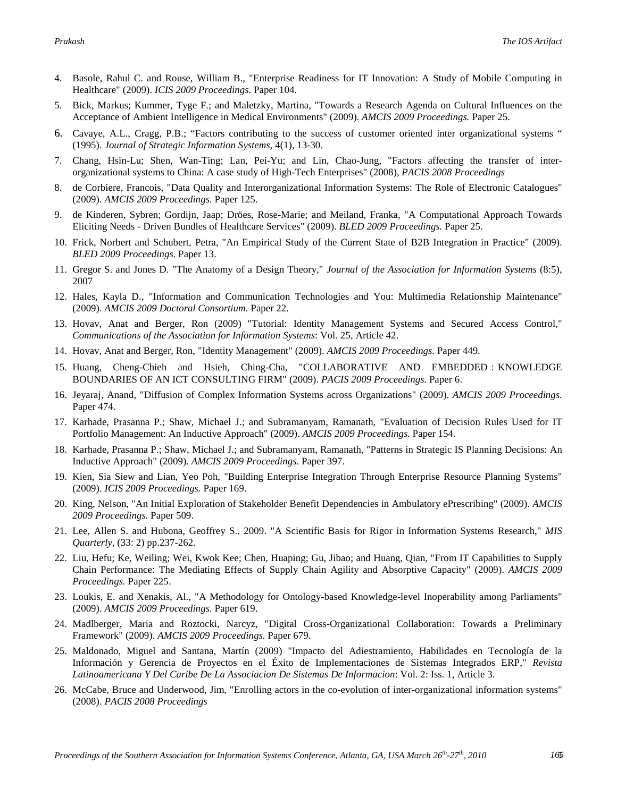- 4. Basole, Rahul C. and Rouse, William B., "Enterprise Readiness for IT Innovation: A Study of Mobile Computing in Healthcare" (2009). *ICIS 2009 Proceedings.* Paper 104.
- 5. Bick, Markus; Kummer, Tyge F.; and Maletzky, Martina, "Towards a Research Agenda on Cultural Influences on the Acceptance of Ambient Intelligence in Medical Environments" (2009). *AMCIS 2009 Proceedings.* Paper 25.
- 6. Cavaye, A.L., Cragg, P.B.; "Factors contributing to the success of customer oriented inter organizational systems " (1995). *Journal of Strategic Information Systems*, 4(1), 13-30.
- 7. Chang, Hsin-Lu; Shen, Wan-Ting; Lan, Pei-Yu; and Lin, Chao-Jung, "Factors affecting the transfer of interorganizational systems to China: A case study of High-Tech Enterprises" (2008), *PACIS 2008 Proceedings*
- 8. de Corbiere, Francois, "Data Quality and Interorganizational Information Systems: The Role of Electronic Catalogues" (2009). *AMCIS 2009 Proceedings.* Paper 125.
- 9. de Kinderen, Sybren; Gordijn, Jaap; Dröes, Rose-Marie; and Meiland, Franka, "A Computational Approach Towards Eliciting Needs - Driven Bundles of Healthcare Services" (2009). *BLED 2009 Proceedings.* Paper 25.
- 10. Frick, Norbert and Schubert, Petra, "An Empirical Study of the Current State of B2B Integration in Practice" (2009). *BLED 2009 Proceedings.* Paper 13.
- 11. Gregor S. and Jones D. "The Anatomy of a Design Theory," *Journal of the Association for Information Systems* (8:5), 2007
- 12. Hales, Kayla D., "Information and Communication Technologies and You: Multimedia Relationship Maintenance" (2009). *AMCIS 2009 Doctoral Consortium.* Paper 22.
- 13. Hovav, Anat and Berger, Ron (2009) "Tutorial: Identity Management Systems and Secured Access Control," *Communications of the Association for Information Systems*: Vol. 25, Article 42.
- 14. Hovav, Anat and Berger, Ron, "Identity Management" (2009). *AMCIS 2009 Proceedings.* Paper 449.
- 15. Huang, Cheng-Chieh and Hsieh, Ching-Cha, "COLLABORATIVE AND EMBEDDED:KNOWLEDGE BOUNDARIES OF AN ICT CONSULTING FIRM" (2009). *PACIS 2009 Proceedings.* Paper 6.
- 16. Jeyaraj, Anand, "Diffusion of Complex Information Systems across Organizations" (2009). *AMCIS 2009 Proceedings.* Paper 474.
- 17. Karhade, Prasanna P.; Shaw, Michael J.; and Subramanyam, Ramanath, "Evaluation of Decision Rules Used for IT Portfolio Management: An Inductive Approach" (2009). *AMCIS 2009 Proceedings.* Paper 154.
- 18. Karhade, Prasanna P.; Shaw, Michael J.; and Subramanyam, Ramanath, "Patterns in Strategic IS Planning Decisions: An Inductive Approach" (2009). *AMCIS 2009 Proceedings.* Paper 397.
- 19. Kien, Sia Siew and Lian, Yeo Poh, "Building Enterprise Integration Through Enterprise Resource Planning Systems" (2009). *ICIS 2009 Proceedings.* Paper 169.
- 20. King, Nelson, "An Initial Exploration of Stakeholder Benefit Dependencies in Ambulatory ePrescribing" (2009). *AMCIS 2009 Proceedings.* Paper 509.
- 21. Lee, Allen S. and Hubona, Geoffrey S.. 2009. "A Scientific Basis for Rigor in Information Systems Research," *MIS Quarterly*, (33: 2) pp.237-262.
- 22. Liu, Hefu; Ke, Weiling; Wei, Kwok Kee; Chen, Huaping; Gu, Jibao; and Huang, Qian, "From IT Capabilities to Supply Chain Performance: The Mediating Effects of Supply Chain Agility and Absorptive Capacity" (2009). *AMCIS 2009 Proceedings.* Paper 225.
- 23. Loukis, E. and Xenakis, Al., "A Methodology for Ontology-based Knowledge-level Inoperability among Parliaments" (2009). *AMCIS 2009 Proceedings.* Paper 619.
- 24. Madlberger, Maria and Roztocki, Narcyz, "Digital Cross-Organizational Collaboration: Towards a Preliminary Framework" (2009). *AMCIS 2009 Proceedings.* Paper 679.
- 25. Maldonado, Miguel and Santana, Martín (2009) "Impacto del Adiestramiento, Habilidades en Tecnología de la Información y Gerencia de Proyectos en el Éxito de Implementaciones de Sistemas Integrados ERP," *Revista Latinoamericana Y Del Caribe De La Associacion De Sistemas De Informacion*: Vol. 2: Iss. 1, Article 3.
- 26. McCabe, Bruce and Underwood, Jim, "Enrolling actors in the co-evolution of inter-organizational information systems" (2008). *PACIS 2008 Proceedings*